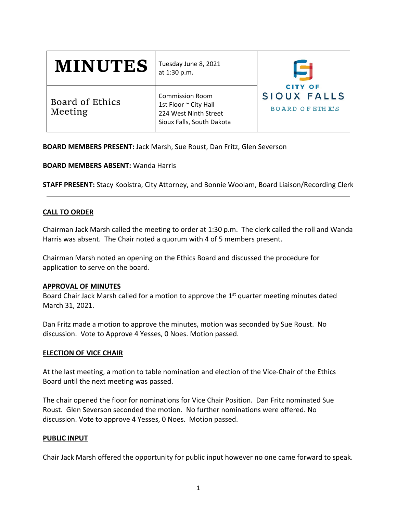| <b>MINUTES</b>             | Tuesday June 8, 2021<br>at 1:30 p.m.                                                                  |                                                         |
|----------------------------|-------------------------------------------------------------------------------------------------------|---------------------------------------------------------|
| Board of Ethics<br>Meeting | <b>Commission Room</b><br>1st Floor ~ City Hall<br>224 West Ninth Street<br>Sioux Falls, South Dakota | <b>CITY OF</b><br>SIOUX FALLS<br><b>BOARD OF ETHICS</b> |

**BOARD MEMBERS PRESENT:** Jack Marsh, Sue Roust, Dan Fritz, Glen Severson

**BOARD MEMBERS ABSENT:** Wanda Harris

**STAFF PRESENT:** Stacy Kooistra, City Attorney, and Bonnie Woolam, Board Liaison/Recording Clerk

# **CALL TO ORDER**

Chairman Jack Marsh called the meeting to order at 1:30 p.m. The clerk called the roll and Wanda Harris was absent. The Chair noted a quorum with 4 of 5 members present.

Chairman Marsh noted an opening on the Ethics Board and discussed the procedure for application to serve on the board.

### **APPROVAL OF MINUTES**

Board Chair Jack Marsh called for a motion to approve the  $1<sup>st</sup>$  quarter meeting minutes dated March 31, 2021.

Dan Fritz made a motion to approve the minutes, motion was seconded by Sue Roust. No discussion. Vote to Approve 4 Yesses, 0 Noes. Motion passed.

### **ELECTION OF VICE CHAIR**

At the last meeting, a motion to table nomination and election of the Vice‐Chair of the Ethics Board until the next meeting was passed.

The chair opened the floor for nominations for Vice Chair Position. Dan Fritz nominated Sue Roust. Glen Severson seconded the motion. No further nominations were offered. No discussion. Vote to approve 4 Yesses, 0 Noes. Motion passed.

### **PUBLIC INPUT**

Chair Jack Marsh offered the opportunity for public input however no one came forward to speak.